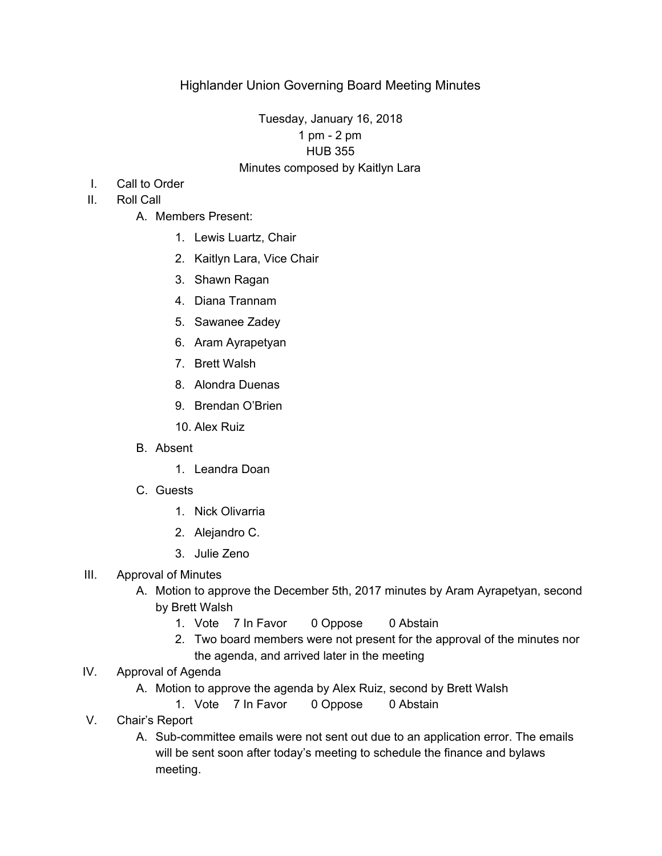## Tuesday, January 16, 2018 1 pm - 2 pm HUB 355 Minutes composed by Kaitlyn Lara

- I. Call to Order
- II. Roll Call
	- A. Members Present:
		- 1. Lewis Luartz, Chair
		- 2. Kaitlyn Lara, Vice Chair
		- 3. Shawn Ragan
		- 4. Diana Trannam
		- 5. Sawanee Zadey
		- 6. Aram Ayrapetyan
		- 7. Brett Walsh
		- 8. Alondra Duenas
		- 9. Brendan O'Brien
		- 10. Alex Ruiz
	- B. Absent
		- 1. Leandra Doan
	- C. Guests
		- 1. Nick Olivarria
		- 2. Alejandro C.
		- 3. Julie Zeno

#### III. Approval of Minutes

- A. Motion to approve the December 5th, 2017 minutes by Aram Ayrapetyan, second by Brett Walsh
	- 1. Vote 7 In Favor 0 Oppose 0 Abstain
	- 2. Two board members were not present for the approval of the minutes nor the agenda, and arrived later in the meeting
- IV. Approval of Agenda
	- A. Motion to approve the agenda by Alex Ruiz, second by Brett Walsh
		- 1. Vote 7 In Favor 0 Oppose 0 Abstain
- V. Chair's Report
	- A. Sub-committee emails were not sent out due to an application error. The emails will be sent soon after today's meeting to schedule the finance and bylaws meeting.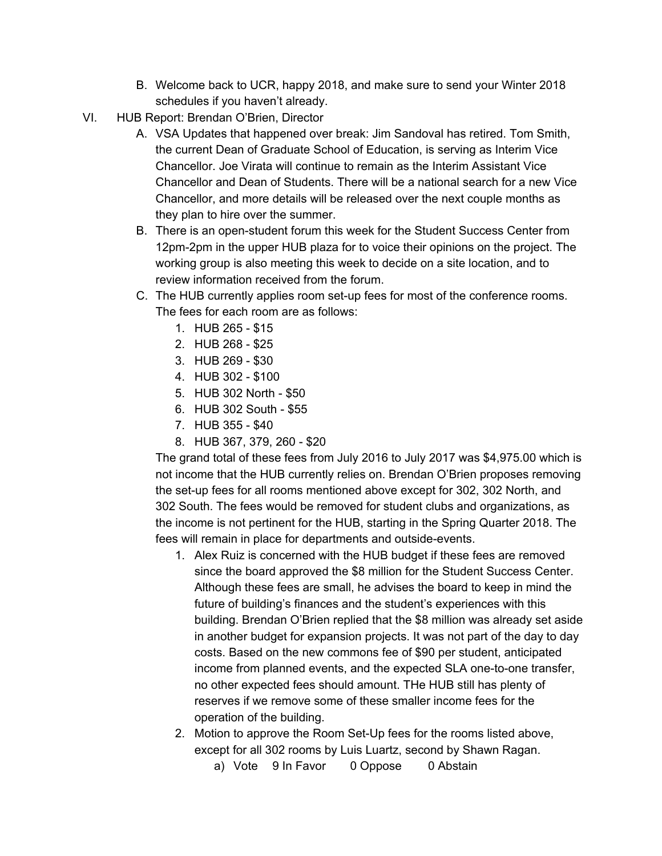- B. Welcome back to UCR, happy 2018, and make sure to send your Winter 2018 schedules if you haven't already.
- VI. HUB Report: Brendan O'Brien, Director
	- A. VSA Updates that happened over break: Jim Sandoval has retired. Tom Smith, the current Dean of Graduate School of Education, is serving as Interim Vice Chancellor. Joe Virata will continue to remain as the Interim Assistant Vice Chancellor and Dean of Students. There will be a national search for a new Vice Chancellor, and more details will be released over the next couple months as they plan to hire over the summer.
	- B. There is an open-student forum this week for the Student Success Center from 12pm-2pm in the upper HUB plaza for to voice their opinions on the project. The working group is also meeting this week to decide on a site location, and to review information received from the forum.
	- C. The HUB currently applies room set-up fees for most of the conference rooms. The fees for each room are as follows:
		- 1. HUB 265 \$15
		- 2. HUB 268 \$25
		- 3. HUB 269 \$30
		- 4. HUB 302 \$100
		- 5. HUB 302 North \$50
		- 6. HUB 302 South \$55
		- 7. HUB 355 \$40
		- 8. HUB 367, 379, 260 \$20

The grand total of these fees from July 2016 to July 2017 was \$4,975.00 which is not income that the HUB currently relies on. Brendan O'Brien proposes removing the set-up fees for all rooms mentioned above except for 302, 302 North, and 302 South. The fees would be removed for student clubs and organizations, as the income is not pertinent for the HUB, starting in the Spring Quarter 2018. The fees will remain in place for departments and outside-events.

- 1. Alex Ruiz is concerned with the HUB budget if these fees are removed since the board approved the \$8 million for the Student Success Center. Although these fees are small, he advises the board to keep in mind the future of building's finances and the student's experiences with this building. Brendan O'Brien replied that the \$8 million was already set aside in another budget for expansion projects. It was not part of the day to day costs. Based on the new commons fee of \$90 per student, anticipated income from planned events, and the expected SLA one-to-one transfer, no other expected fees should amount. THe HUB still has plenty of reserves if we remove some of these smaller income fees for the operation of the building.
- 2. Motion to approve the Room Set-Up fees for the rooms listed above, except for all 302 rooms by Luis Luartz, second by Shawn Ragan.
	- a) Vote 9 In Favor 0 Oppose 0 Abstain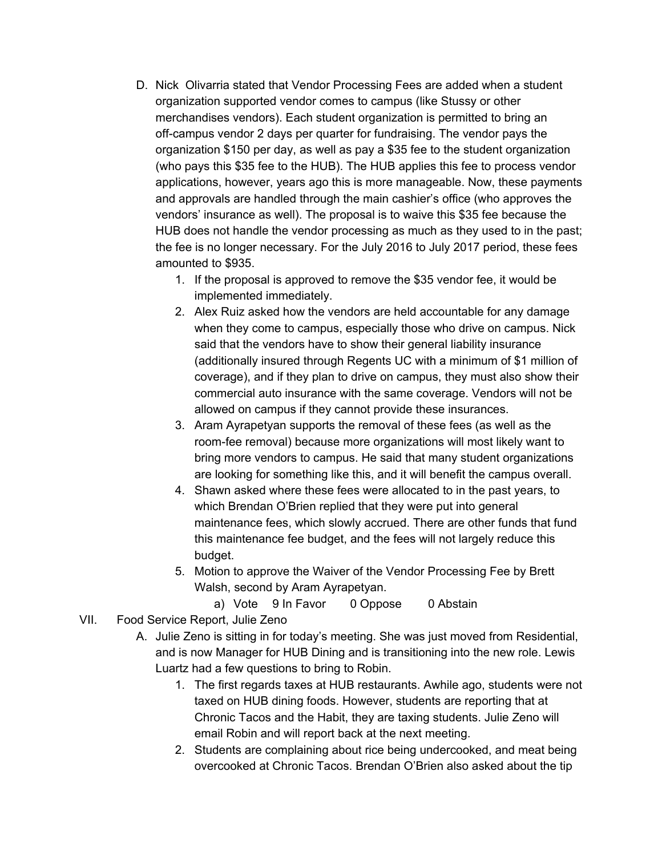- D. Nick Olivarria stated that Vendor Processing Fees are added when a student organization supported vendor comes to campus (like Stussy or other merchandises vendors). Each student organization is permitted to bring an off-campus vendor 2 days per quarter for fundraising. The vendor pays the organization \$150 per day, as well as pay a \$35 fee to the student organization (who pays this \$35 fee to the HUB). The HUB applies this fee to process vendor applications, however, years ago this is more manageable. Now, these payments and approvals are handled through the main cashier's office (who approves the vendors' insurance as well). The proposal is to waive this \$35 fee because the HUB does not handle the vendor processing as much as they used to in the past; the fee is no longer necessary. For the July 2016 to July 2017 period, these fees amounted to \$935.
	- 1. If the proposal is approved to remove the \$35 vendor fee, it would be implemented immediately.
	- 2. Alex Ruiz asked how the vendors are held accountable for any damage when they come to campus, especially those who drive on campus. Nick said that the vendors have to show their general liability insurance (additionally insured through Regents UC with a minimum of \$1 million of coverage), and if they plan to drive on campus, they must also show their commercial auto insurance with the same coverage. Vendors will not be allowed on campus if they cannot provide these insurances.
	- 3. Aram Ayrapetyan supports the removal of these fees (as well as the room-fee removal) because more organizations will most likely want to bring more vendors to campus. He said that many student organizations are looking for something like this, and it will benefit the campus overall.
	- 4. Shawn asked where these fees were allocated to in the past years, to which Brendan O'Brien replied that they were put into general maintenance fees, which slowly accrued. There are other funds that fund this maintenance fee budget, and the fees will not largely reduce this budget.
	- 5. Motion to approve the Waiver of the Vendor Processing Fee by Brett Walsh, second by Aram Ayrapetyan.
		- a) Vote 9 In Favor 0 Oppose 0 Abstain
- VII. Food Service Report, Julie Zeno
	- A. Julie Zeno is sitting in for today's meeting. She was just moved from Residential, and is now Manager for HUB Dining and is transitioning into the new role. Lewis Luartz had a few questions to bring to Robin.
		- 1. The first regards taxes at HUB restaurants. Awhile ago, students were not taxed on HUB dining foods. However, students are reporting that at Chronic Tacos and the Habit, they are taxing students. Julie Zeno will email Robin and will report back at the next meeting.
		- 2. Students are complaining about rice being undercooked, and meat being overcooked at Chronic Tacos. Brendan O'Brien also asked about the tip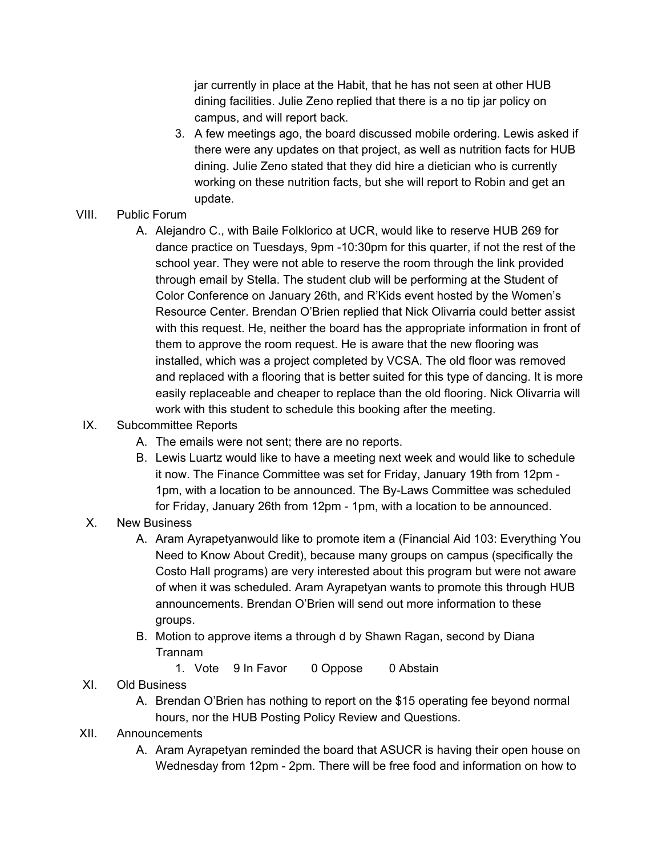jar currently in place at the Habit, that he has not seen at other HUB dining facilities. Julie Zeno replied that there is a no tip jar policy on campus, and will report back.

3. A few meetings ago, the board discussed mobile ordering. Lewis asked if there were any updates on that project, as well as nutrition facts for HUB dining. Julie Zeno stated that they did hire a dietician who is currently working on these nutrition facts, but she will report to Robin and get an update.

# VIII. Public Forum

A. Alejandro C., with Baile Folklorico at UCR, would like to reserve HUB 269 for dance practice on Tuesdays, 9pm -10:30pm for this quarter, if not the rest of the school year. They were not able to reserve the room through the link provided through email by Stella. The student club will be performing at the Student of Color Conference on January 26th, and R'Kids event hosted by the Women's Resource Center. Brendan O'Brien replied that Nick Olivarria could better assist with this request. He, neither the board has the appropriate information in front of them to approve the room request. He is aware that the new flooring was installed, which was a project completed by VCSA. The old floor was removed and replaced with a flooring that is better suited for this type of dancing. It is more easily replaceable and cheaper to replace than the old flooring. Nick Olivarria will work with this student to schedule this booking after the meeting.

# IX. Subcommittee Reports

- A. The emails were not sent; there are no reports.
- B. Lewis Luartz would like to have a meeting next week and would like to schedule it now. The Finance Committee was set for Friday, January 19th from 12pm - 1pm, with a location to be announced. The By-Laws Committee was scheduled for Friday, January 26th from 12pm - 1pm, with a location to be announced.

## X. New Business

- A. Aram Ayrapetyanwould like to promote item a (Financial Aid 103: Everything You Need to Know About Credit), because many groups on campus (specifically the Costo Hall programs) are very interested about this program but were not aware of when it was scheduled. Aram Ayrapetyan wants to promote this through HUB announcements. Brendan O'Brien will send out more information to these groups.
- B. Motion to approve items a through d by Shawn Ragan, second by Diana Trannam
	- 1. Vote 9 In Favor 0 Oppose 0 Abstain
- XI. Old Business
	- A. Brendan O'Brien has nothing to report on the \$15 operating fee beyond normal hours, nor the HUB Posting Policy Review and Questions.
- XII. Announcements
	- A. Aram Ayrapetyan reminded the board that ASUCR is having their open house on Wednesday from 12pm - 2pm. There will be free food and information on how to